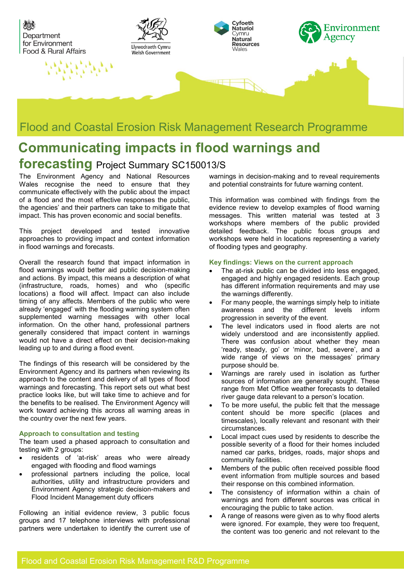

### Flood and Coastal Erosion Risk Management Research Programme

# **Communicating impacts in flood warnings and**

## **forecasting** Project Summary SC150013/S

The Environment Agency and National Resources Wales recognise the need to ensure that they communicate effectively with the public about the impact of a flood and the most effective responses the public, the agencies' and their partners can take to mitigate that impact. This has proven economic and social benefits.

This project developed and tested innovative approaches to providing impact and context information in flood warnings and forecasts.

Overall the research found that impact information in flood warnings would better aid public decision-making and actions. By impact, this means a description of what (infrastructure, roads, homes) and who (specific locations) a flood will affect. Impact can also include timing of any affects. Members of the public who were already 'engaged' with the flooding warning system often supplemented warning messages with other local information. On the other hand, professional partners generally considered that impact content in warnings would not have a direct effect on their decision-making leading up to and during a flood event.

The findings of this research will be considered by the Environment Agency and its partners when reviewing its approach to the content and delivery of all types of flood warnings and forecasting. This report sets out what best practice looks like, but will take time to achieve and for the benefits to be realised. The Environment Agency will work toward achieving this across all warning areas in the country over the next few years.

#### **Approach to consultation and testing**

The team used a phased approach to consultation and testing with 2 groups:

- residents of 'at-risk' areas who were already engaged with flooding and flood warnings
- professional partners including the police, local authorities, utility and infrastructure providers and Environment Agency strategic decision-makers and Flood Incident Management duty officers

Following an initial evidence review, 3 public focus groups and 17 telephone interviews with professional partners were undertaken to identify the current use of warnings in decision-making and to reveal requirements and potential constraints for future warning content.

This information was combined with findings from the evidence review to develop examples of flood warning messages. This written material was tested at 3 workshops where members of the public provided detailed feedback. The public focus groups and workshops were held in locations representing a variety of flooding types and geography.

#### **Key findings: Views on the current approach**

- The at-risk public can be divided into less engaged, engaged and highly engaged residents. Each group has different information requirements and may use the warnings differently.
- For many people, the warnings simply help to initiate awareness and the different levels inform progression in severity of the event.
- The level indicators used in flood alerts are not widely understood and are inconsistently applied. There was confusion about whether they mean 'ready, steady, go' or 'minor, bad, severe', and a wide range of views on the messages' primary purpose should be.
- Warnings are rarely used in isolation as further sources of information are generally sought. These range from Met Office weather forecasts to detailed river gauge data relevant to a person's location.
- To be more useful, the public felt that the message content should be more specific (places and timescales), locally relevant and resonant with their circumstances.
- Local impact cues used by residents to describe the possible severity of a flood for their homes included named car parks, bridges, roads, major shops and community facilities.
- Members of the public often received possible flood event information from multiple sources and based their response on this combined information.
- The consistency of information within a chain of warnings and from different sources was critical in encouraging the public to take action.
- A range of reasons were given as to why flood alerts were ignored. For example, they were too frequent, the content was too generic and not relevant to the